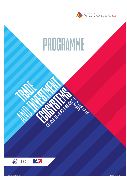

# **PROGRAMME**

DELIVERED OR GROWING SURFORM

WTPO-2018 programme.indd 1 23/10/2018 15:56:55

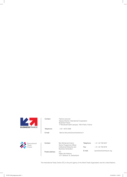

| Contact:   | Fabrice Lelouvier<br>Deputy Director, International Cooperation<br><b>Business France</b><br>77 Boulevard Saint-Jacques, 75014 Paris, France |
|------------|----------------------------------------------------------------------------------------------------------------------------------------------|
| Telephone: | $+33140733408$                                                                                                                               |
| $F$ -mail: | fabrice.lelouvier@businessfrance.fr                                                                                                          |



| Contact:        | Ben Mohamed Imamo<br>Senior Programme Officer             | Telephone: | +41 -22 730 0247        |
|-----------------|-----------------------------------------------------------|------------|-------------------------|
|                 | Institutional Networks and<br><b>Business Generation</b>  | Fax:       | $+41 - 227300576$       |
| Postal address: | ITC.<br>Palais des Nations<br>1211 Geneva 10, Switzerland | E-mail:    | tponetwork@intracen.org |

The International Trade Centre (ITC) is the joint agency of the World Trade Organization and the United Nations.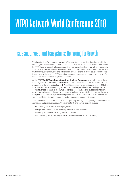## **WTPO Network World Conference 2018**

## **Trade and Investment Ecosystems: Delivering for Growth**

This is not a time for business as usual. With trade facing strong headwinds and with the shared global commitment to achieve the United Nations Sustainable Development Goals by 2030, there is a need to foster approaches that can deliver future growth and prosperity at scale. The role of trade and investment promotion organizations (TIPOs) - to ensure that trade contributes to inclusive and sustainable growth - aligns to these development goals. In response to these shifts, TIPOs are harnessing ecosystems of business support to offer innovative, seamless and integrated solutions.

At the 2018 **World Trade Promotion Organizations Conference**, we will focus on how an ecosystem approach could add value for small businesses and the implications of this approach for the future direction of TIPOs. This includes the emerging role of a TIPO to be a catalyst for cooperation among actors, providing integrated services that improve the competitiveness of small to medium sized enterprises (SMEs), and supporting inclusive growth. We will consider how rapid changes in technology are altering the actors, linkages and platforms that make up these ecosystems. We will also reflect on how to measure the work of institutions including reporting on broader socio-economic impact.

The conference uses a format of provoquer *(inspiring with big ideas)*, partager *(sharing real life examples)* and pratiquer *(tips and tools for action)*, and covers four sub topics:

- Ambitious goals in a rapidly changing world
- Ecosystems for reach, scale, flexibility, innovation, and efficiency
- Delivering with excellence using new technologies
- Demonstrating and driving impact with credible measurement and reporting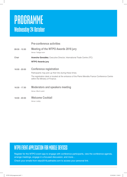## **PROGRAMME Wednesday 24 October**

#### **Pre-conference activities**

- 09:30 10:30 **Meeting of the WTPO Awards 2018 jury** *Venue: Fadiga room* Chair **Arancha González**, Executive Director, International Trade Centre (ITC) **WTPO Awards jury**
- 16:00 20:00 **Conference registration**

Participants may pick up their kits during these times.

The registration desk is located at the entrance of the Pierre Mendès France Conference Centre within the Ministry of Finance.

16:30 - 17:30 **Moderators and speakers meeting**

*Venue: Bloch-Lainé*

18:00 - 20:00 **Welcome Cocktail**

*Venue: Lobby*

#### **WTPO EVENT APPLICATION FOR MOBILE DEVICES**

Register for the WTPO event app to engage with conference participants, view the conference agenda, arrange meetings, engage in a focused discussion, and more…

Check your emails from wtpo2018.pathable.com to access your personal link.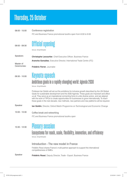## **Thursday, 25 October**

08:00 - 15:00 **Conference registration** ITC and Business France promotional booths open from 8:00 to 9:00



*Venue: Amphitheatre* 

Speakers Master of **Christophe Lecourtier**, Chief Executive Officer, Business France **Arancha González**, Executive Director, International Trade Centre (ITC)

Ceremonies: **Frédéric Ferrer**, Journalist

09:30 - 10:00

09:00 - 09:30

#### **Keynote speech Ambitious goals in a rapidly changing world: Agenda 2030**

*Venue: Amphitheatre*

Professor lan Goldin will set out the ambitions for inclusive growth described by the UN Global Goals for sustainable development and the 2030 Agenda. These goals are important and affect us all. They serve as an inspirational connecting force to unite diverse actors, and are aligned with the work of TIPOs to create opportunities for businesses to grow internationally. To reach these goals in the next decade, new methods, new partners and new platforms will be required.

- Speaker **Ian Goldin**, Director, Oxford Martin Programme on Technological and Economic Change
- 10:00 10:30 **Coffee break and networking** ITC and Business France promotional booths open

10:30 - 12:30

#### **Plenary session**

#### **Ecosystems for reach, scale, flexibility, innovation, and efficiency**

*Venue: Amphitheatre*

#### **Introduction - The new model in France**

Frédéric Rossi shares France's multi-partner approach to support the international competitiveness of SMEs.

Speaker **Frédéric Rossi**, Deputy Director, Trade - Export, Business France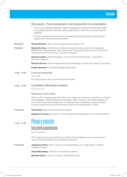|                   | Discussion - Food ecosystems, from production to consumption                                                                                                                                                                                                                                                                                                                    |
|-------------------|---------------------------------------------------------------------------------------------------------------------------------------------------------------------------------------------------------------------------------------------------------------------------------------------------------------------------------------------------------------------------------|
|                   | How can an ecosystem approach support businesses to produce food efficiently, market<br>$\bullet$<br>and promote products effectively, deliver quality food to consumers, and ensure prompt<br>payment?                                                                                                                                                                         |
|                   | How do the actors at each step of the international food value chains complement and<br>$\bullet$<br>support each other for business success?                                                                                                                                                                                                                                   |
| Moderator         | Hernan Manson, Head, Inclusive Agribusiness Systems, ITC                                                                                                                                                                                                                                                                                                                        |
| <b>Panellists</b> | Marike De Pena, Chief Executive Officer, Bananos Ecologicos de la Linea Noroeste<br>(BANELINO), Representative, Latin American and Caribbean Network of Fair Trade Small<br>Producers and Workers (CLAC), Dominican Republic                                                                                                                                                    |
|                   | Horacio Lomba, General Manager, Consorcio Citricos Dominicanos - Grupo RICA,<br>Dominican Republic                                                                                                                                                                                                                                                                              |
|                   | Ricardo Durrant, Senior Investment Promotions Manager, Jamaica Promotions Corporation                                                                                                                                                                                                                                                                                           |
|                   | Kaspar Baumann, Investment Manager, Clarmondial                                                                                                                                                                                                                                                                                                                                 |
| $12:30 - 14:00$   | <b>Lunch and networking</b><br>Venue: Lobby                                                                                                                                                                                                                                                                                                                                     |
|                   | ITC and Business France promotional booths open.                                                                                                                                                                                                                                                                                                                                |
| 13:30 - 14:00     | Lunchtime information session<br>Venue: Bloch-Lainé                                                                                                                                                                                                                                                                                                                             |
|                   | <b>Alliances for Action (A4A)</b>                                                                                                                                                                                                                                                                                                                                               |
|                   | A4A is an ITC ecosystem approach that works closely with institutions as partners. It bridges<br>the knowledge, sustainability and inclusiveness "gaps" faced by value chain operators at<br>local, national and international level. The alliances work collectively to address barriers,<br>increase market and product diversification and inclusive participation in trade. |
| Presenters        | <b>Owen Skae, Director Rhodes Business School</b>                                                                                                                                                                                                                                                                                                                               |
|                   | <b>Ekaterina Krivonos</b> , Economist, Food and Agricultural Organisation of the United Nations                                                                                                                                                                                                                                                                                 |
| 14.00 - 14:30     | <b>Plenary session</b>                                                                                                                                                                                                                                                                                                                                                          |
|                   | <b>Fast pitch presentations</b>                                                                                                                                                                                                                                                                                                                                                 |
|                   | Venue: Amphitheatre                                                                                                                                                                                                                                                                                                                                                             |
|                   | TIPO representatives and experts will consider what ecosystems mean in the context of<br>trade and share examples of an ecosystem approach.                                                                                                                                                                                                                                     |
| Presenters        | Jacqueline Flood, Head of Business Competitiveness Unit, Organisation of Eastern<br>Caribbean States                                                                                                                                                                                                                                                                            |
|                   | Jorge Marcotegui, President, ProCordoba, Argentina                                                                                                                                                                                                                                                                                                                              |
|                   |                                                                                                                                                                                                                                                                                                                                                                                 |

**Michael Scherz**, Head of Innovation, Advantage Austria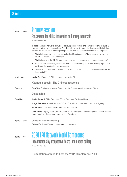#### 14:30 - 16:00 **Plenary session Ecosystems for skills, innovation and entrepreneurship**

*Venue: Amphitheatre*

In a rapidly changing world, TIPOs need to support innovation and entrepreneurship to build a pipeline of future export champions. Panellists will explore the complexities involved in building skills for the future and in enabling entrepreneurs to be generators of economic development.

- What challenges are entrepreneurs facing in different countries? Is an ecosystem response suitable to mitigate these challenges?
- What is the role of the TIPO in nurturing ecosystems for innovation and entrepreneurship?
- How are trade promotion, investment promotion and training institutions working together to build the skills needed for future success?
- What additional tools and solutions do TIPOs need to support innovative businesses that are "born global"?
- Moderator **Karim Sy**, Founder & Chief catalyst, Jokkolabs Global

#### **Keynote speech - The Chinese response**

**Speaker Gao Yan**, Chairperson, China Council for the Promotion of International Trade.

#### **Discussion**

Panellists **Javier Echarri**, Chief Executive Officer, European Business Network

**Jorge Sequeira**, Chief Executive Officer, Costa Rican Investment Promotion Agency

**Ba Phu Vu**, Chief Executive Officer, Vietrade, Vietnam

**Oriel Petry**, Deputy Trade Commissioner for Europe (South and North) and Director, France, Department of International Trade, United Kingdom.

16:00 - 16:30 **Coffee break and networking** ITC and Business France promotional booths open.

16:30 - 17:15 **2020 TPO Network World Conference Presentations by prospective hosts (and secret ballot)** *Venue: Amphitheatre*

**Presentation of bids to host the WTPO Conference 2020**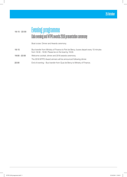### 18:15 - 22:00 **Evening programme Gala evening and WTPO awards 2018 presentation ceremony**

Boat cruise: Dinner and Awards ceremony.

18:15 Bus transfer from Ministry of Finance to Port de Bercy; buses depart every 10 minutes from 18:30 - 19:00. Please be on the boat by 19:00. 19:00 - 22:00 Welcome cocktail, dinner and 2018 awards ceremony. The 2018 WTPO Award winners will be announced following dinner. 22:00 End of evening – Bus transfer from Quai de Bercy to Ministry of Finance.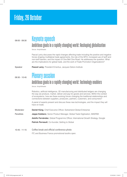## **Friday, 26 October**

### 09:00 - 09:30 **Keynote speech**

#### **Ambitious goals in a rapidly changing world: Reshaping globalisation**

*Venue: Amphitheatre*

Pascal Lamy discusses the rapid changes affecting trade including the positive and negative forces shaping multilateral trade agreements, the role of the WTO, increased use of tariff and non-tariff barriers, and the impact of One Belt One Road. He addresses the question: What are the implications for global trade, and the work of Trade Promotion Organizations?

**Speaker <b>Pascal Lamy**, President Emeritus, Jacques Delors Institute

#### 09:30 - 10:45 **Plenary session**

#### **Ambitious goals in a rapidly changing world: Technology enablers**

*Venue: Amphitheatre*

Robotics, artificial intelligence, 3D manufacturing and distributed ledgers are changing the way we produce, market, deliver and pay for goods and services. Within the context of ecosystems, how are these evolving forces changing the traditional relationships and connections between suppliers, producers, partners, customers, and consumers?

A panel of experts present and discuss these new technologies, and the impact they will have on trade.

Moderator **Daniel Küng**, Chief Executive Officer, Switzerland Global Enterprise

Panellists **Jeppe Kobbero**, Senior Product Manager, Global Trade Digitization, MAERSK

**Adolfo Fernández**, Global Programme Officer, International Growth Strategy, Google

Patrick Perreault, Co-founder, Getting to Global

10:45 - 11:15 **Coffee break and official conference photo** ITC and Business France promotional booths open.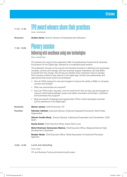#### 11:15 - 11:45 **TPO award winners share their practices**  *Venue: Amphitheatre*

Moderator **Anders Aeroe**, Director, Division of Enterprises and Institutions

#### 11:45 - 13:00 **Plenary session**

|                   | Delivering with excellence using new technologies<br>Venue: Amphitheatre                                                                                                                                                                                                                                                                                                                                             |  |  |
|-------------------|----------------------------------------------------------------------------------------------------------------------------------------------------------------------------------------------------------------------------------------------------------------------------------------------------------------------------------------------------------------------------------------------------------------------|--|--|
|                   | ITC presents the results of the publication SME Competitiveness Outlook 2018: Business<br>Ecosystems for the Digital Age, followed by a moderated panel session.                                                                                                                                                                                                                                                     |  |  |
|                   | The publication focuses on the way the 4th Industrial revolution is affecting how businesses<br>compete, connect and change, and how business support institutions can help SMEs<br>to benefit from the change. We will discuss whether these institutions have to reshape<br>their business models to stay relevant in the digital age, and the new partnerships and<br>approaches that would need to be developed. |  |  |
|                   | How do TIPOs respond to new technologies to improve the ability of SMEs to compete,<br>$\bullet$<br>connect and change?                                                                                                                                                                                                                                                                                              |  |  |
|                   | What new partnerships are required?<br>$\bullet$                                                                                                                                                                                                                                                                                                                                                                     |  |  |
|                   | How can TIPOs make "big data" work for small firms? How an they use technologies to<br>$\bullet$<br>improve matchmaking between buyers and sellers, borrowers and lenders, institutions<br>and businesses they support?                                                                                                                                                                                              |  |  |
|                   | What are specific challenges and opportunities TIPOs in least developed countries<br>$\bullet$<br>(LDCs) experience in the digital age?                                                                                                                                                                                                                                                                              |  |  |
| Moderator         | Marion Jansen, Chief Economist, ITC                                                                                                                                                                                                                                                                                                                                                                                  |  |  |
| <b>Panellists</b> | Ratnakar Adhikari, Executive Director, Enhanced Integrated Framework, World Trade<br>Organization                                                                                                                                                                                                                                                                                                                    |  |  |
|                   | Alberto Cerdán Borja, Director General, Institutional Cooperation and Coordination, ICEX-<br>Spain                                                                                                                                                                                                                                                                                                                   |  |  |
|                   | <b>Sunita Daniel, Chief Executive Officer, Export Saint Lucia</b>                                                                                                                                                                                                                                                                                                                                                    |  |  |
|                   | Mohd Shahreen Zainooreen Madros, Chief Executive Officer, Malaysia External Trade<br>Development Corporation                                                                                                                                                                                                                                                                                                         |  |  |
|                   | Bostjan Skalar, Chief Executive Officer, World Association of Investment Promotion<br>Agencies                                                                                                                                                                                                                                                                                                                       |  |  |

13:00 - 14:00 **Lunch and networking**

*Venue: Lobby*

ITC and Business France promotional booths open.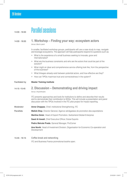#### **26 October**

| $14:00 - 16:00$   | <b>Parallel sessions</b>                                                                                                                                                                                                                                                  |  |  |
|-------------------|---------------------------------------------------------------------------------------------------------------------------------------------------------------------------------------------------------------------------------------------------------------------------|--|--|
| 14:00 - 16:00     | 1. Workshop – Finding your way: ecosystem actors<br>Venue: Bloch-Lainé                                                                                                                                                                                                    |  |  |
|                   | In smaller, facilitated workshop groups, participants will use a case study to map, navigate<br>and leverage ecosystems. The approach will help participants respond to questions such as:                                                                                |  |  |
|                   | What is the experience of a small business seeking to innovate, grow and<br>٠<br>internationalize?                                                                                                                                                                        |  |  |
|                   | What are the business constraints and who are the actors that could be part of the<br>$\bullet$<br>solution?                                                                                                                                                              |  |  |
|                   | What might an ideal and comprehensive service offering look like, from the perspective<br>$\bullet$<br>of the business?                                                                                                                                                   |  |  |
|                   | • What linkages already exist between potential actors, and how effective are they?                                                                                                                                                                                       |  |  |
|                   | How can TIPOs maximize trust and connectedness in the system?<br>$\bullet$                                                                                                                                                                                                |  |  |
| Facilitated by    | <b>Master Training Institute</b>                                                                                                                                                                                                                                          |  |  |
| 14:15 - 15:45     | 2. Discussion – Demonstrating and driving impact<br>Venue: Amphitheatre                                                                                                                                                                                                   |  |  |
|                   | ITC presents approaches and tools for institutions to define and describe their results<br>and to demonstrate their contribution to SDGs. This will include a presentation and panel<br>discussion with the TIPOs involved in the ITC pilot project for impact reporting. |  |  |
| Moderator         | <b>Anne Chappaz, Chief, Institutional Strengthening, ITC</b>                                                                                                                                                                                                              |  |  |
| <b>Panellists</b> | <b>Malick Diop</b> , Director General, Agence sénégalaise de promotion des exportations                                                                                                                                                                                   |  |  |
|                   | Martina Gmür, Head of Export Promotion, Switzerland Global Enterprise                                                                                                                                                                                                     |  |  |
|                   | Saed Al Awadi, Chief Executive Officer, Dubai Exports                                                                                                                                                                                                                     |  |  |
|                   | Pedro Beirute Prada, General Manager, ProComer                                                                                                                                                                                                                            |  |  |
|                   | Ana Novik, Head of Investment Division, Organisation for Economic Co-operation and<br>Development                                                                                                                                                                         |  |  |
| 15:45 - 16:15     | <b>Coffee break and networking</b>                                                                                                                                                                                                                                        |  |  |

ITC and Business France promotional booths open.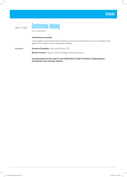

*Venue: Amphitheatre*

#### **Conference summary**

Conclusions of the 2018 WTPO Conference and recommendations for future activities of the global TPO network and its extended members.

Speakers **Arancha González**, Executive Director, ITC

**Benoît Trivulce**, Deputy Director, Strategy, Business France

**Announcement of the host for the 2020 World Trade Promotion Organizations Conference and closing remarks**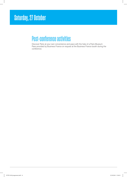## **Saturday, 27 October**

## **Post-conference activities**

Discover Paris at your own convenience and pace with the help of a Paris Museum Pass provided by Business France on request at the Business France booth during the conference.